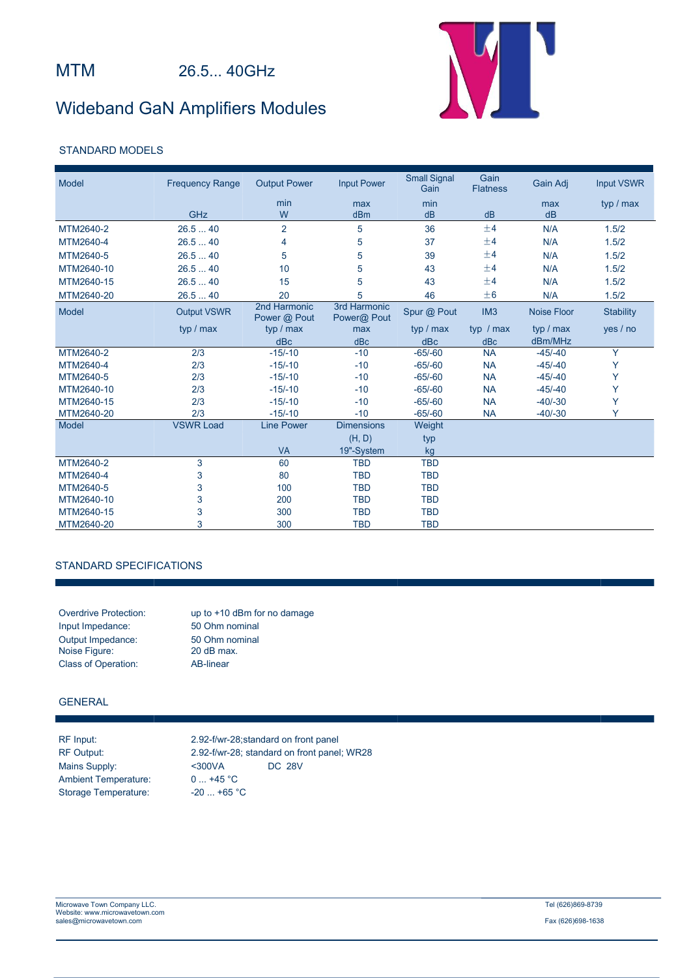## Wideband GaN Amplifiers Modules



## STANDARD MODELS

| Model      | <b>Frequency Range</b> | <b>Output Power</b>          | <b>Input Power</b>          | <b>Small Signal</b><br>Gain | Gain<br><b>Flatness</b> | Gain Adj           | <b>Input VSWR</b> |  |
|------------|------------------------|------------------------------|-----------------------------|-----------------------------|-------------------------|--------------------|-------------------|--|
|            |                        | min                          | max                         | min                         |                         | max                | typ / max         |  |
|            | GHz                    | W                            | dBm                         | dB                          | dB                      | dB                 |                   |  |
| MTM2640-2  | 26.540                 | $\overline{2}$               | 5                           | 36                          | ±4                      | N/A                | 1.5/2             |  |
| MTM2640-4  | 26.540                 | 4                            | 5                           | 37                          | ±4                      | N/A                | 1.5/2             |  |
| MTM2640-5  | 26.540                 | 5                            | 5                           | 39                          | ±4                      | N/A                | 1.5/2             |  |
| MTM2640-10 | 26.540                 | 10                           | 5                           | 43                          | ±4                      | N/A                | 1.5/2             |  |
| MTM2640-15 | 26.540                 | 15                           | 5                           | 43                          | ±4                      | N/A                | 1.5/2             |  |
| MTM2640-20 | 26.540                 | 20                           | 5                           | 46                          | ±6                      | N/A                | 1.5/2             |  |
| Model      | <b>Output VSWR</b>     | 2nd Harmonic<br>Power @ Pout | 3rd Harmonic<br>Power@ Pout | Spur @ Pout                 | IM <sub>3</sub>         | <b>Noise Floor</b> | <b>Stability</b>  |  |
|            | typ / max              | typ / max                    | max                         | typ / max                   | typ $/max$              | typ / max          | yes / no          |  |
|            |                        | dBc                          | dBc                         | dBc                         | dBc                     | dBm/MHz            |                   |  |
| MTM2640-2  | 2/3                    | $-15/-10$                    | $-10$                       | $-65/-60$                   | <b>NA</b>               | $-45/-40$          | Y                 |  |
| MTM2640-4  | 2/3                    | $-15/-10$                    | $-10$                       | $-65/-60$                   | <b>NA</b>               | $-45/-40$          | Y                 |  |
| MTM2640-5  | 2/3                    | $-15/-10$                    | $-10$                       | $-65/-60$                   | <b>NA</b>               | $-45/-40$          | Y                 |  |
| MTM2640-10 | 2/3                    | $-15/-10$                    | $-10$                       | $-65/-60$                   | <b>NA</b>               | $-45/-40$          | Υ                 |  |
| MTM2640-15 | 2/3                    | $-15/-10$                    | $-10$                       | $-65/-60$                   | <b>NA</b>               | $-40/-30$          | Y                 |  |
| MTM2640-20 | 2/3                    | $-15/-10$                    | $-10$                       | $-65/-60$                   | <b>NA</b>               | $-40/-30$          | Y                 |  |
| Model      | <b>VSWR Load</b>       | <b>Line Power</b>            | <b>Dimensions</b>           | Weight                      |                         |                    |                   |  |
|            |                        |                              | (H, D)                      | typ                         |                         |                    |                   |  |
|            |                        | <b>VA</b>                    | 19"-System                  | kg                          |                         |                    |                   |  |
| MTM2640-2  | 3                      | 60                           | <b>TBD</b>                  | <b>TBD</b>                  |                         |                    |                   |  |
| MTM2640-4  | 3                      | 80                           | <b>TBD</b>                  | <b>TBD</b>                  |                         |                    |                   |  |
| MTM2640-5  | 3                      | 100                          | <b>TBD</b>                  | <b>TBD</b>                  |                         |                    |                   |  |
| MTM2640-10 | 3                      | 200                          | <b>TBD</b>                  | <b>TBD</b>                  |                         |                    |                   |  |
| MTM2640-15 | 3                      | 300                          | <b>TBD</b>                  | <b>TBD</b>                  |                         |                    |                   |  |
| MTM2640-20 | 3                      | 300                          | <b>TBD</b>                  | <b>TBD</b>                  |                         |                    |                   |  |

## STANDARD SPECIFICATIONS

Input Impedance: 50 Ohm nominal Output Impedance: 50 Ohm nominal Noise Figure: 20 dB max. Class of Operation: AB-linear

Overdrive Protection: up to +10 dBm for no damage

### GENERAL

Ambient Temperature: 0 ... +45 °C Storage Temperature: -20 ... +65 °C

RF Input: 2.92-f/wr-28;standard on front panel RF Output: 2.92-f/wr-28; standard on front panel; WR28 Mains Supply: <300VA DC 28V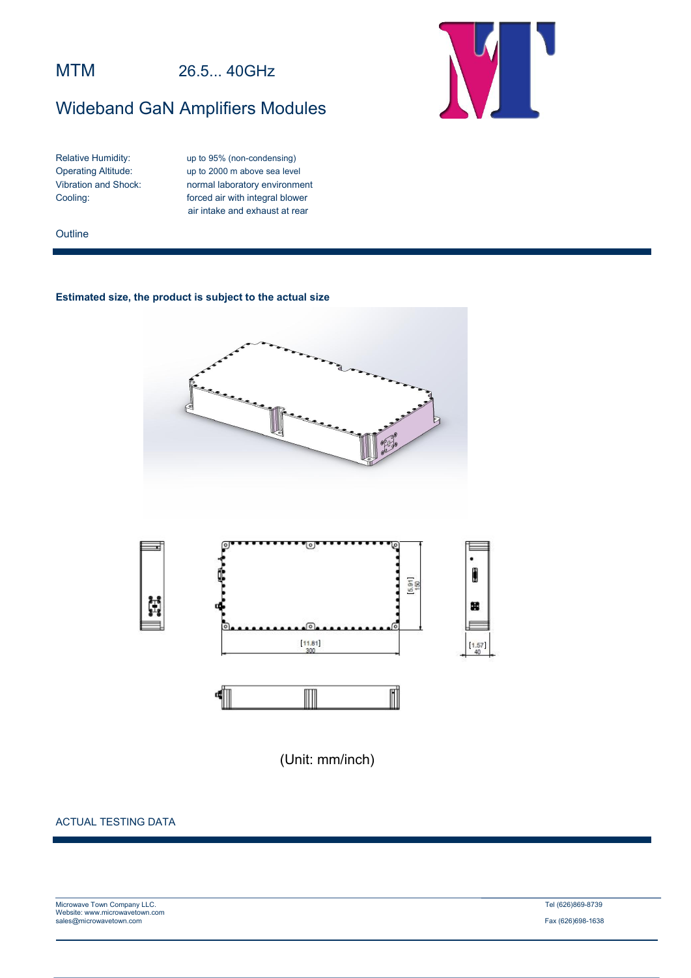## MTM 26.5... 40GHz

# Wideband GaN Amplifiers Modules



Relative Humidity: up to 95% (non-condensing) Operating Altitude: up to 2000 m above sea level<br>Vibration and Shock: normal laboratory environment normal laboratory environment Cooling: forced air with integral blower air intake and exhaust at rear

#### **Outline**

## **Estimated size, the product is subject to the actual size**





(Unit: mm/inch)

## ACTUAL TESTING DATA

| Microwave Town Company LLC.    | Tel (626)869-8739 |
|--------------------------------|-------------------|
| Website: www.microwavetown.com |                   |
| sales@microwavetown.com        | Fax (626)698-1638 |